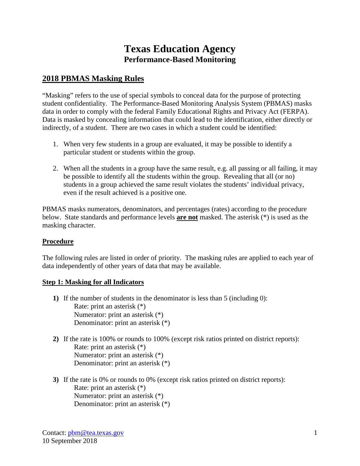# **Texas Education Agency Performance-Based Monitoring**

## **2018 PBMAS Masking Rules**

"Masking" refers to the use of special symbols to conceal data for the purpose of protecting student confidentiality. The Performance-Based Monitoring Analysis System (PBMAS) masks data in order to comply with the federal Family Educational Rights and Privacy Act (FERPA). Data is masked by concealing information that could lead to the identification, either directly or indirectly, of a student. There are two cases in which a student could be identified:

- 1. When very few students in a group are evaluated, it may be possible to identify a particular student or students within the group.
- 2. When all the students in a group have the same result, e.g. all passing or all failing, it may be possible to identify all the students within the group. Revealing that all (or no) students in a group achieved the same result violates the students' individual privacy, even if the result achieved is a positive one.

PBMAS masks numerators, denominators, and percentages (rates) according to the procedure below. State standards and performance levels **are not** masked. The asterisk (\*) is used as the masking character.

#### **Procedure**

The following rules are listed in order of priority. The masking rules are applied to each year of data independently of other years of data that may be available.

#### **Step 1: Masking for all Indicators**

- **1)** If the number of students in the denominator is less than 5 (including 0): Rate: print an asterisk (\*) Numerator: print an asterisk (\*) Denominator: print an asterisk (\*)
- **2)** If the rate is 100% or rounds to 100% (except risk ratios printed on district reports): Rate: print an asterisk (\*) Numerator: print an asterisk (\*) Denominator: print an asterisk (\*)
- **3)** If the rate is 0% or rounds to 0% (except risk ratios printed on district reports): Rate: print an asterisk (\*) Numerator: print an asterisk (\*) Denominator: print an asterisk (\*)